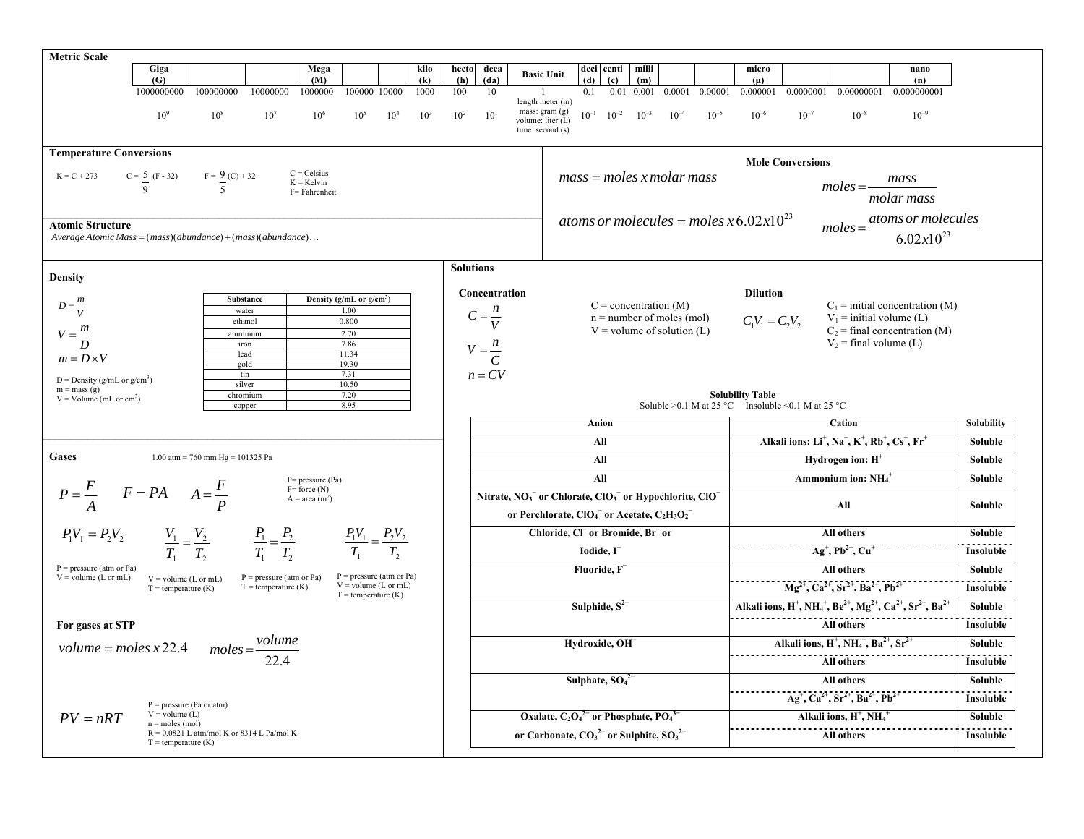| <b>Metric Scale</b>                                                                                                                 |                                                     |                                             |                                                                                           |                                                   |                                                                                                 |                 |                 |                  |                                                                   |                                                                                                                                                                      |                                                          |                                           |                |                                                                                          |           |                                              |                                                   |                                                                                         |                                                                                        |                   |
|-------------------------------------------------------------------------------------------------------------------------------------|-----------------------------------------------------|---------------------------------------------|-------------------------------------------------------------------------------------------|---------------------------------------------------|-------------------------------------------------------------------------------------------------|-----------------|-----------------|------------------|-------------------------------------------------------------------|----------------------------------------------------------------------------------------------------------------------------------------------------------------------|----------------------------------------------------------|-------------------------------------------|----------------|------------------------------------------------------------------------------------------|-----------|----------------------------------------------|---------------------------------------------------|-----------------------------------------------------------------------------------------|----------------------------------------------------------------------------------------|-------------------|
|                                                                                                                                     | Giga<br>(G)                                         |                                             |                                                                                           | Mega<br>(M)                                       |                                                                                                 |                 | kilo<br>(k)     | hecto<br>(h)     | deca<br>(da)                                                      | <b>Basic Unit</b>                                                                                                                                                    | (d)                                                      | deci centi<br>$\left( \mathbf{c} \right)$ | milli<br>(m)   |                                                                                          |           | micro<br>$(\mu)$                             |                                                   |                                                                                         | nano<br>(n)                                                                            |                   |
|                                                                                                                                     | 1000000000                                          | 100000000                                   | 10000000                                                                                  | 1000000                                           | 100000                                                                                          | 10000           | 1000            | 100              | 10                                                                | $\mathbf{1}$                                                                                                                                                         | 0.1                                                      |                                           | $0.01$ $0.001$ | 0.0001                                                                                   | 0.00001   | 0.000001                                     | 0.0000001                                         | 0.00000001                                                                              | 0.000000001                                                                            |                   |
|                                                                                                                                     | 10 <sup>9</sup>                                     | 10 <sup>8</sup>                             | 10 <sup>7</sup>                                                                           | 10 <sup>6</sup>                                   | $10^{5}$                                                                                        | 10 <sup>4</sup> | 10 <sup>3</sup> | $10^{2}$         | 10 <sup>1</sup>                                                   | length meter (m)<br>mass: gram (g)<br>volume: liter (L)<br>time: second (s)                                                                                          | $10^{-1}$                                                | $10^{-2}$                                 | $10^{-3}$      | $10^{-4}$                                                                                | $10^{-5}$ | $10^{-6}$                                    | $10^{-7}$                                         | $10^{-8}$                                                                               | $10^{-9}$                                                                              |                   |
| <b>Temperature Conversions</b>                                                                                                      |                                                     |                                             |                                                                                           |                                                   |                                                                                                 |                 |                 |                  |                                                                   |                                                                                                                                                                      |                                                          |                                           |                |                                                                                          |           |                                              | <b>Mole Conversions</b>                           |                                                                                         |                                                                                        |                   |
| $K = C + 273$                                                                                                                       | $C = \frac{5}{9}$ (F-32) $F = \frac{9}{5}$ (C) + 32 |                                             |                                                                                           | $C = Celsius$<br>$K =$ Kelvin<br>$F = Fahrenheit$ |                                                                                                 |                 |                 |                  |                                                                   |                                                                                                                                                                      | $mass = moles x molar mass$                              |                                           |                |                                                                                          |           |                                              |                                                   | $moles = \frac{mass}{molar mass}$                                                       |                                                                                        |                   |
| <b>Atomic Structure</b><br>$Average Atomic Mass = (mass)(abundance) + (mass)(abundance)$                                            |                                                     |                                             |                                                                                           |                                                   |                                                                                                 |                 |                 |                  |                                                                   |                                                                                                                                                                      |                                                          |                                           |                |                                                                                          |           | atoms or molecules = moles $x 6.02x 10^{23}$ |                                                   | $moles = -$                                                                             | <i>atoms or molecules</i><br>$6.02x10^{23}$                                            |                   |
| <b>Density</b>                                                                                                                      |                                                     |                                             |                                                                                           |                                                   |                                                                                                 |                 |                 | <b>Solutions</b> |                                                                   |                                                                                                                                                                      |                                                          |                                           |                |                                                                                          |           |                                              |                                                   |                                                                                         |                                                                                        |                   |
| $D=\frac{m}{V}$<br>$V = \frac{m}{D}$<br>$m = D \times V$<br>D = Density ( $g/mL$ or $g/cm3$ )                                       |                                                     |                                             | <b>Substance</b><br>water<br>ethanol<br>aluminum<br>iron<br>lead<br>gold<br>tin<br>silver |                                                   | Density (g/mL or $g/cm^3$ )<br>1.00<br>0.800<br>2.70<br>7.86<br>11.34<br>19.30<br>7.31<br>10.50 |                 |                 |                  | Concentration<br>$C=\frac{n}{V}$<br>$V = \frac{n}{C}$<br>$n = CV$ |                                                                                                                                                                      |                                                          |                                           |                | $C =$ concentration $(M)$<br>$n =$ number of moles (mol)<br>$V =$ volume of solution (L) |           | <b>Dilution</b><br>$C_1V_1 = C_2V_2$         |                                                   | $V_1$ = initial volume (L)<br>$V_2$ = final volume (L)                                  | $C_1$ = initial concentration (M)<br>$C_2$ = final concentration (M)                   |                   |
| $m =$ mass (g)<br>$V = Volume (mL or cm3)$                                                                                          |                                                     |                                             | chromium<br>copper                                                                        |                                                   | 7.20<br>8.95                                                                                    |                 |                 |                  |                                                                   |                                                                                                                                                                      |                                                          |                                           |                |                                                                                          |           | <b>Solubility Table</b>                      | Soluble >0.1 M at 25 °C Insoluble <0.1 M at 25 °C |                                                                                         |                                                                                        |                   |
|                                                                                                                                     |                                                     |                                             |                                                                                           |                                                   |                                                                                                 |                 |                 |                  |                                                                   |                                                                                                                                                                      |                                                          | Anion                                     |                |                                                                                          |           |                                              |                                                   | Cation                                                                                  |                                                                                        | <b>Solubility</b> |
|                                                                                                                                     |                                                     |                                             |                                                                                           |                                                   |                                                                                                 |                 |                 |                  |                                                                   |                                                                                                                                                                      |                                                          | All                                       |                |                                                                                          |           |                                              |                                                   | Alkali ions: $Li^+$ , $Na^+$ , $K^+$ , $Rb^+$ , $Cs^+$ , $Fr^+$                         |                                                                                        | Soluble           |
| <b>Gases</b>                                                                                                                        |                                                     | $1.00$ atm = 760 mm Hg = 101325 Pa          |                                                                                           |                                                   |                                                                                                 |                 |                 |                  |                                                                   |                                                                                                                                                                      |                                                          | All                                       |                |                                                                                          |           |                                              |                                                   | Hydrogen ion: $H^+$                                                                     |                                                                                        | Soluble           |
|                                                                                                                                     |                                                     |                                             |                                                                                           | P= pressure (Pa)<br>F= force (N)                  |                                                                                                 |                 |                 |                  |                                                                   |                                                                                                                                                                      |                                                          | All                                       |                |                                                                                          |           |                                              |                                                   | Ammonium ion: NH <sub>4</sub> <sup>+</sup>                                              |                                                                                        | Soluble           |
| $P = \frac{F}{A}$ $F = PA$ $A = \frac{F}{P}$                                                                                        |                                                     |                                             |                                                                                           | $A = area (m2)$                                   |                                                                                                 |                 |                 |                  |                                                                   | Nitrate, NO <sub>3</sub> or Chlorate, ClO <sub>3</sub> or Hypochlorite, ClO <sup>-</sup><br>or Perchlorate, $ClO4$ <sup>-</sup> or Acetate, $C_2H_3O_2$ <sup>-</sup> |                                                          |                                           |                |                                                                                          |           |                                              |                                                   | All                                                                                     |                                                                                        | <b>Soluble</b>    |
|                                                                                                                                     |                                                     |                                             |                                                                                           |                                                   |                                                                                                 |                 |                 |                  |                                                                   |                                                                                                                                                                      | Chloride, Cl <sup>-</sup> or Bromide, Br <sup>-</sup> or |                                           |                |                                                                                          |           |                                              |                                                   | All others                                                                              |                                                                                        | Soluble           |
| $P_1V_1 = P_2V_2$ $\frac{V_1}{T_1} = \frac{V_2}{T_2}$ $\frac{P_1}{T_1} = \frac{P_2}{T_2}$ $\frac{P_1V_1}{T_1} = \frac{P_2V_2}{T_2}$ |                                                     |                                             |                                                                                           |                                                   |                                                                                                 |                 |                 |                  |                                                                   |                                                                                                                                                                      |                                                          | Iodide, I                                 |                |                                                                                          |           |                                              |                                                   | $Ag1, Pb2+, Cu1$                                                                        |                                                                                        | Insoluble         |
| $P = pressure (atm or Pa)$<br>$V =$ volume (L or mL)                                                                                | $V =$ volume (L or mL)                              |                                             | $P = pressure (atm or Pa)$                                                                |                                                   | $P = pressure (atm or Pa)$                                                                      |                 |                 |                  |                                                                   |                                                                                                                                                                      |                                                          | Fluoride, F                               |                |                                                                                          |           |                                              |                                                   | All others                                                                              |                                                                                        | <b>Soluble</b>    |
|                                                                                                                                     | $T =$ temperature $(K)$                             |                                             | $T = temperature(K)$                                                                      |                                                   | $V =$ volume (L or mL)<br>$T =$ temperature $(K)$                                               |                 |                 |                  |                                                                   |                                                                                                                                                                      |                                                          |                                           |                |                                                                                          |           |                                              |                                                   | $Mg^{2+}$ , $Ca^{2+}$ , $Sr^{2+}$ , $Ba^{2+}$ , $Pb^{2+}$                               |                                                                                        | Insoluble         |
|                                                                                                                                     |                                                     |                                             |                                                                                           |                                                   |                                                                                                 |                 |                 |                  |                                                                   |                                                                                                                                                                      |                                                          | Sulphide, $S^{2-}$                        |                |                                                                                          |           |                                              |                                                   |                                                                                         | Alkali ions, $H^+$ , $NH_4^+$ , $Be^{2+}$ , $Mg^{2+}$ , $Ca^{2+}$ , $Sr^{2+}$ , $Ba^2$ | Soluble           |
| For gases at STP                                                                                                                    |                                                     |                                             |                                                                                           |                                                   |                                                                                                 |                 |                 |                  |                                                                   |                                                                                                                                                                      |                                                          |                                           |                |                                                                                          |           |                                              |                                                   | All others                                                                              |                                                                                        | Insoluble         |
| volume = moles x 22.4 moles = $\frac{volume}{22.4}$                                                                                 |                                                     |                                             |                                                                                           |                                                   |                                                                                                 |                 |                 |                  |                                                                   |                                                                                                                                                                      | Hydroxide, OH                                            |                                           |                |                                                                                          |           |                                              |                                                   | Alkali ions, $H^+$ , NH <sub>4</sub> <sup>+</sup> , Ba <sup>2+</sup> , Sr <sup>2+</sup> |                                                                                        | Soluble           |
|                                                                                                                                     |                                                     |                                             |                                                                                           |                                                   |                                                                                                 |                 |                 |                  |                                                                   |                                                                                                                                                                      |                                                          |                                           |                |                                                                                          |           |                                              |                                                   | All others                                                                              |                                                                                        | Insoluble         |
|                                                                                                                                     |                                                     |                                             |                                                                                           |                                                   |                                                                                                 |                 |                 |                  |                                                                   |                                                                                                                                                                      | Sulphate, $SO42$                                         |                                           |                |                                                                                          |           |                                              |                                                   | All others                                                                              |                                                                                        | Soluble           |
|                                                                                                                                     |                                                     | $P = pressure (Pa or atm)$                  |                                                                                           |                                                   |                                                                                                 |                 |                 |                  |                                                                   |                                                                                                                                                                      |                                                          |                                           |                |                                                                                          |           |                                              |                                                   | $Ag4, Ca2+, Sr2+, Ba2+, Pb2+$                                                           |                                                                                        | Insoluble         |
| $PV = nRT$                                                                                                                          | $V =$ volume (L)<br>$n =$ moles (mol)               |                                             |                                                                                           |                                                   |                                                                                                 |                 |                 |                  |                                                                   | Oxalate, $C_2O_4^2$ or Phosphate, $PO_4^3$                                                                                                                           |                                                          |                                           |                |                                                                                          |           |                                              |                                                   | Alkali ions, $H^+$ , $NH_4$                                                             |                                                                                        | Soluble           |
|                                                                                                                                     | $T =$ temperature $(K)$                             | $R = 0.0821$ L atm/mol K or 8314 L Pa/mol K |                                                                                           |                                                   |                                                                                                 |                 |                 |                  |                                                                   | or Carbonate, $CO_3^2$ <sup>-</sup> or Sulphite, $SO_3^2$ <sup>-</sup>                                                                                               |                                                          |                                           |                |                                                                                          |           |                                              |                                                   | All others                                                                              |                                                                                        | Insoluble         |